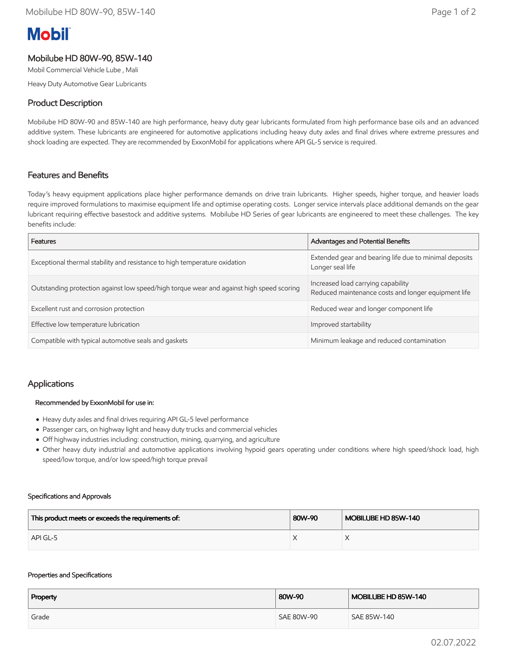# **Mobil**

# Mobilube HD 80W-90, 85W-140

Mobil Commercial Vehicle Lube , Mali

Heavy Duty Automotive Gear Lubricants

# Product Description

Mobilube HD 80W-90 and 85W-140 are high performance, heavy duty gear lubricants formulated from high performance base oils and an advanced additive system. These lubricants are engineered for automotive applications including heavy duty axles and final drives where extreme pressures and shock loading are expected. They are recommended by ExxonMobil for applications where API GL-5 service is required.

## Features and Benefits

Today's heavy equipment applications place higher performance demands on drive train lubricants. Higher speeds, higher torque, and heavier loads require improved formulations to maximise equipment life and optimise operating costs. Longer service intervals place additional demands on the gear lubricant requiring effective basestock and additive systems. Mobilube HD Series of gear lubricants are engineered to meet these challenges. The key benefits include:

| Features                                                                                 | Advantages and Potential Benefits                                                         |  |
|------------------------------------------------------------------------------------------|-------------------------------------------------------------------------------------------|--|
| Exceptional thermal stability and resistance to high temperature oxidation               | Extended gear and bearing life due to minimal deposits<br>Longer seal life                |  |
| Outstanding protection against low speed/high torque wear and against high speed scoring | Increased load carrying capability<br>Reduced maintenance costs and longer equipment life |  |
| Excellent rust and corrosion protection                                                  | Reduced wear and longer component life                                                    |  |
| Effective low temperature lubrication                                                    | Improved startability                                                                     |  |
| Compatible with typical automotive seals and gaskets                                     | Minimum leakage and reduced contamination                                                 |  |

## Applications

#### Recommended by ExxonMobil for use in:

- Heavy duty axles and final drives requiring API GL-5 level performance
- Passenger cars, on highway light and heavy duty trucks and commercial vehicles
- Off highway industries including: construction, mining, quarrying, and agriculture
- Other heavy duty industrial and automotive applications involving hypoid gears operating under conditions where high speed/shock load, high speed/low torque, and/or low speed/high torque prevail

#### Specifications and Approvals

| This product meets or exceeds the requirements of: | 80W-90 | MOBILUBE HD 85W-140 |
|----------------------------------------------------|--------|---------------------|
| API GL-5                                           |        |                     |

#### Properties and Specifications

| Property | 80W-90     | MOBILUBE HD 85W-140 |
|----------|------------|---------------------|
| Grade    | SAE 80W-90 | SAE 85W-140         |